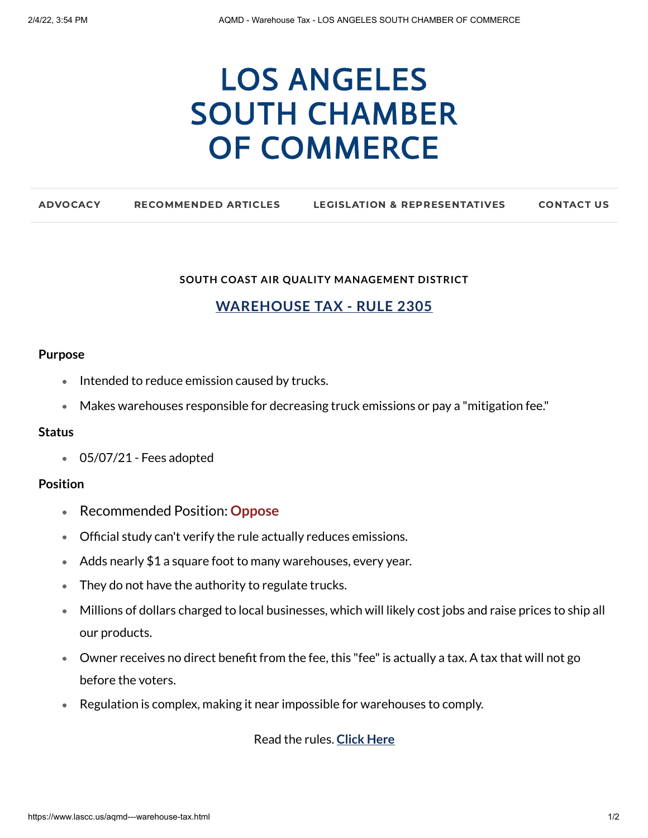# LOS ANGELES SOUTH CHAMBER OF [COMMERCE](https://www.lascc.us/)

| <b>ADVOCACY</b> | <b>RECOMMENDED ARTICLES</b> | <b>LEGISLATION &amp; REPRESENTATIVES</b> | <b>CONTACT US</b> |
|-----------------|-----------------------------|------------------------------------------|-------------------|
|                 |                             |                                          |                   |

#### **SOUTH COAST AIR QUALITY MANAGEMENT DISTRICT**

# **WAREHOUSE TAX - RULE 2305**

#### **Purpose**

- Intended to reduce emission caused by trucks.
- Makes warehouses responsible for decreasing truck emissions or pay a "mitigation fee."

## **Status**

05/07/21 - Fees adopted

## **Position**

- Recommended Position: **Oppose**
- Official study can't verify the rule actually reduces emissions.
- Adds nearly \$1 a square foot to many warehouses, every year.
- They do not have the authority to regulate trucks.
- Millions of dollars charged to local businesses, which will likely cost jobs and raise prices to ship all our products.
- Owner receives no direct benefit from the fee, this "fee"is actually a tax. A tax that will not go before the voters.
- Regulation is complex, making it near impossible for warehouses to comply.

Read the rules. **[Click](https://www.aqmd.gov/home/air-quality/clean-air-plans/air-quality-mgt-plan/facility-based-mobile-source-measures/warehs-distr-wkng-grp) Here**